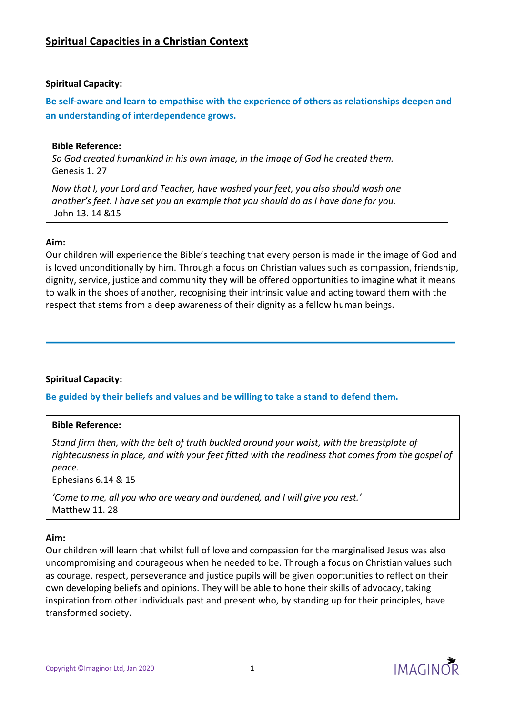**Be self-aware and learn to empathise with the experience of others as relationships deepen and an understanding of interdependence grows.**

# **Bible Reference:**

*So God created humankind in his own image, in the image of God he created them.*  Genesis 1. 27

*Now that I, your Lord and Teacher, have washed your feet, you also should wash one another's feet. I have set you an example that you should do as I have done for you.*  John 13. 14 &15

# **Aim:**

Our children will experience the Bible's teaching that every person is made in the image of God and is loved unconditionally by him. Through a focus on Christian values such as compassion, friendship, dignity, service, justice and community they will be offered opportunities to imagine what it means to walk in the shoes of another, recognising their intrinsic value and acting toward them with the respect that stems from a deep awareness of their dignity as a fellow human beings.

# **Spiritual Capacity:**

**Be guided by their beliefs and values and be willing to take a stand to defend them.**

# **Bible Reference:**

*Stand firm then, with the belt of truth buckled around your waist, with the breastplate of righteousness in place, and with your feet fitted with the readiness that comes from the gospel of peace.* 

Ephesians 6.14 & 15

*'Come to me, all you who are weary and burdened, and I will give you rest.'*  Matthew 11. 28

## **Aim:**

Our children will learn that whilst full of love and compassion for the marginalised Jesus was also uncompromising and courageous when he needed to be. Through a focus on Christian values such as courage, respect, perseverance and justice pupils will be given opportunities to reflect on their own developing beliefs and opinions. They will be able to hone their skills of advocacy, taking inspiration from other individuals past and present who, by standing up for their principles, have transformed society.

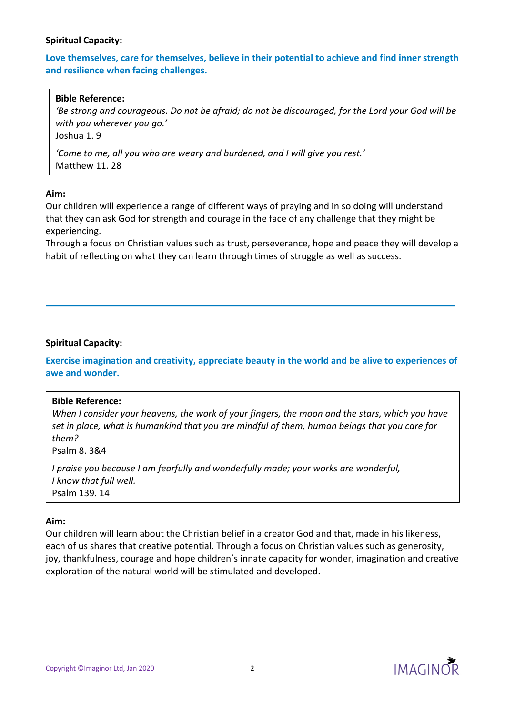# **Love themselves, care for themselves, believe in their potential to achieve and find inner strength and resilience when facing challenges.**

### **Bible Reference:**

'Be strong and courageous. Do not be afraid; do not be discouraged, for the Lord your God will be *with you wherever you go.'* 

Joshua 1. 9

*'Come to me, all you who are weary and burdened, and I will give you rest.'*  Matthew 11. 28

#### **Aim:**

Our children will experience a range of different ways of praying and in so doing will understand that they can ask God for strength and courage in the face of any challenge that they might be experiencing.

Through a focus on Christian values such as trust, perseverance, hope and peace they will develop a habit of reflecting on what they can learn through times of struggle as well as success.

## **Spiritual Capacity:**

**Exercise imagination and creativity, appreciate beauty in the world and be alive to experiences of awe and wonder.**

## **Bible Reference:**

*When I consider your heavens, the work of your fingers, the moon and the stars, which you have set in place, what is humankind that you are mindful of them, human beings that you care for them?* 

Psalm 8. 3&4

*I praise you because I am fearfully and wonderfully made; your works are wonderful, I know that full well.*  Psalm 139. 14

#### **Aim:**

Our children will learn about the Christian belief in a creator God and that, made in his likeness, each of us shares that creative potential. Through a focus on Christian values such as generosity, joy, thankfulness, courage and hope children's innate capacity for wonder, imagination and creative exploration of the natural world will be stimulated and developed.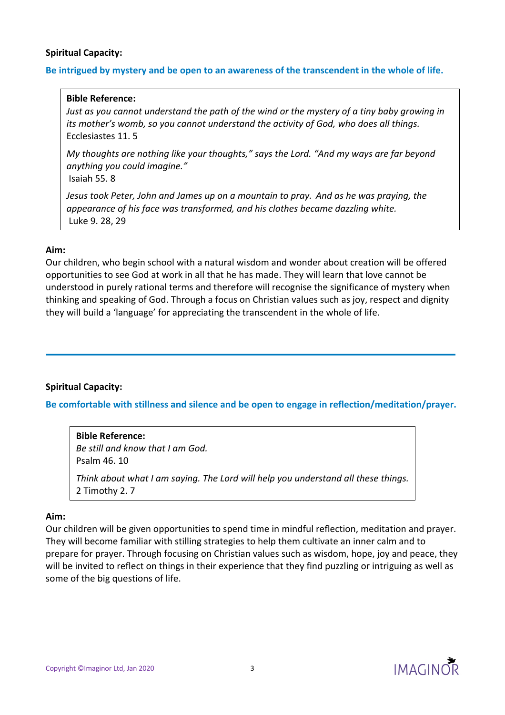# **Be intrigued by mystery and be open to an awareness of the transcendent in the whole of life.**

### **Bible Reference:**

*Just as you cannot understand the path of the wind or the mystery of a tiny baby growing in its mother's womb, so you cannot understand the activity of God, who does all things.*  Ecclesiastes 11. 5

*My thoughts are nothing like your thoughts," says the Lord. "And my ways are far beyond anything you could imagine."* 

Isaiah 55. 8

*Jesus took Peter, John and James up on a mountain to pray. And as he was praying, the appearance of his face was transformed, and his clothes became dazzling white.*  Luke 9. 28, 29

## **Aim:**

Our children, who begin school with a natural wisdom and wonder about creation will be offered opportunities to see God at work in all that he has made. They will learn that love cannot be understood in purely rational terms and therefore will recognise the significance of mystery when thinking and speaking of God. Through a focus on Christian values such as joy, respect and dignity they will build a 'language' for appreciating the transcendent in the whole of life.

## **Spiritual Capacity:**

**Be comfortable with stillness and silence and be open to engage in reflection/meditation/prayer.**

**Bible Reference:** *Be still and know that I am God.*  Psalm 46. 10 *Think about what I am saying. The Lord will help you understand all these things.* 2 Timothy 2. 7

## **Aim:**

Our children will be given opportunities to spend time in mindful reflection, meditation and prayer. They will become familiar with stilling strategies to help them cultivate an inner calm and to prepare for prayer. Through focusing on Christian values such as wisdom, hope, joy and peace, they will be invited to reflect on things in their experience that they find puzzling or intriguing as well as some of the big questions of life.

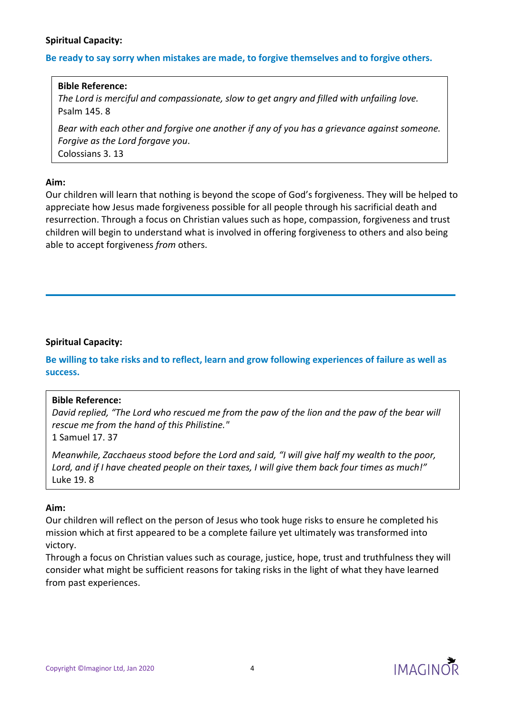### **Be ready to say sorry when mistakes are made, to forgive themselves and to forgive others.**

#### **Bible Reference:**

*The Lord is merciful and compassionate, slow to get angry and filled with unfailing love.*  Psalm 145. 8

*Bear with each other and forgive one another if any of you has a grievance against someone. Forgive as the Lord forgave you*. Colossians 3. 13

#### **Aim:**

Our children will learn that nothing is beyond the scope of God's forgiveness. They will be helped to appreciate how Jesus made forgiveness possible for all people through his sacrificial death and resurrection. Through a focus on Christian values such as hope, compassion, forgiveness and trust children will begin to understand what is involved in offering forgiveness to others and also being able to accept forgiveness *from* others.

## **Spiritual Capacity:**

Be willing to take risks and to reflect, learn and grow following experiences of failure as well as **success.**

#### **Bible Reference:**

David replied, "The Lord who rescued me from the paw of the lion and the paw of the bear will *rescue me from the hand of this Philistine."*  1 Samuel 17. 37

*Meanwhile, Zacchaeus stood before the Lord and said, "I will give half my wealth to the poor,* Lord, and if I have cheated people on their taxes, I will give them back four times as much!" Luke 19. 8

#### **Aim:**

Our children will reflect on the person of Jesus who took huge risks to ensure he completed his mission which at first appeared to be a complete failure yet ultimately was transformed into victory.

Through a focus on Christian values such as courage, justice, hope, trust and truthfulness they will consider what might be sufficient reasons for taking risks in the light of what they have learned from past experiences.